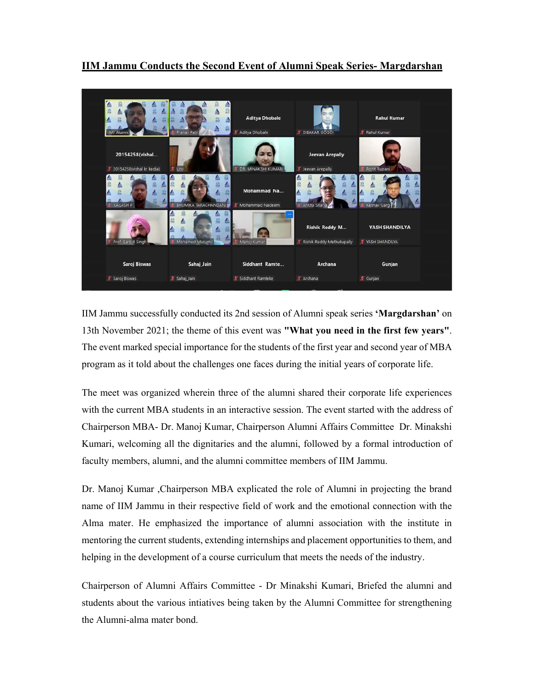

**IIM Jammu Conducts the Second Event of Alumni Speak Series- Margdarshan** 

IIM Jammu successfully conducted its 2nd session of Alumni speak series **'Margdarshan'** on 13th November 2021; the theme of this event was **"What you need in the first few years"**. The event marked special importance for the students of the first year and second year of MBA program as it told about the challenges one faces during the initial years of corporate life.

The meet was organized wherein three of the alumni shared their corporate life experiences with the current MBA students in an interactive session. The event started with the address of Chairperson MBA- Dr. Manoj Kumar, Chairperson Alumni Affairs Committee Dr. Minakshi Kumari, welcoming all the dignitaries and the alumni, followed by a formal introduction of faculty members, alumni, and the alumni committee members of IIM Jammu.

Dr. Manoj Kumar ,Chairperson MBA explicated the role of Alumni in projecting the brand name of IIM Jammu in their respective field of work and the emotional connection with the Alma mater. He emphasized the importance of alumni association with the institute in mentoring the current students, extending internships and placement opportunities to them, and helping in the development of a course curriculum that meets the needs of the industry.

Chairperson of Alumni Affairs Committee - Dr Minakshi Kumari, Briefed the alumni and students about the various intiatives being taken by the Alumni Committee for strengthening the Alumni-alma mater bond.